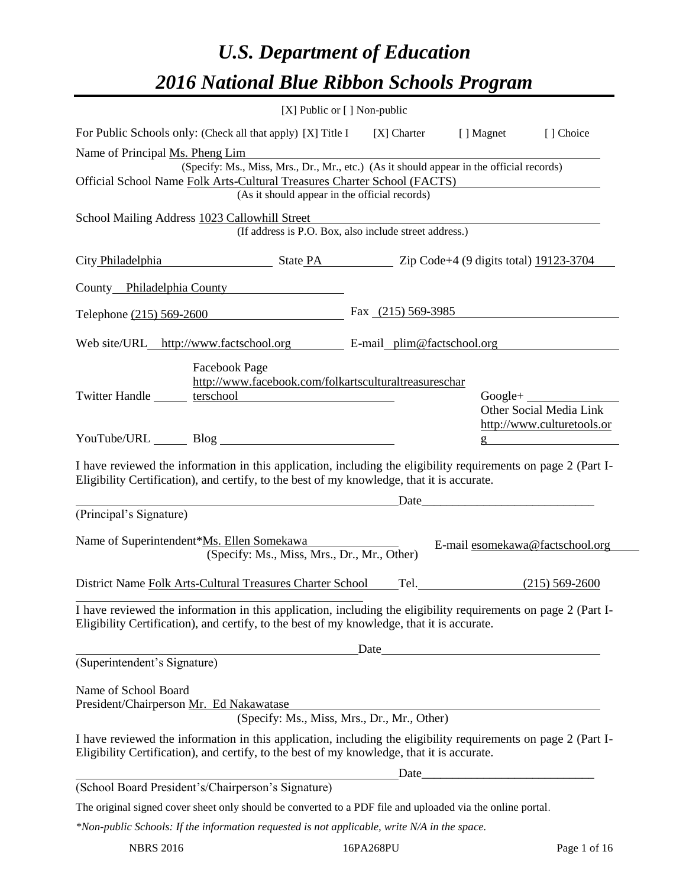# *U.S. Department of Education 2016 National Blue Ribbon Schools Program*

|                            |                                                    |                                                                                                                                                                                                                                                                                                                                        | [ ] Choice                                                                                                                                                                                                                                                                                                                                                                                                                                                                                                                                                                                                                                                                                                                                                                                                                                                                                                                                                                                                                                                                                                                                                                                                                                                                                                                                                                                                                                                                                                                                    |
|----------------------------|----------------------------------------------------|----------------------------------------------------------------------------------------------------------------------------------------------------------------------------------------------------------------------------------------------------------------------------------------------------------------------------------------|-----------------------------------------------------------------------------------------------------------------------------------------------------------------------------------------------------------------------------------------------------------------------------------------------------------------------------------------------------------------------------------------------------------------------------------------------------------------------------------------------------------------------------------------------------------------------------------------------------------------------------------------------------------------------------------------------------------------------------------------------------------------------------------------------------------------------------------------------------------------------------------------------------------------------------------------------------------------------------------------------------------------------------------------------------------------------------------------------------------------------------------------------------------------------------------------------------------------------------------------------------------------------------------------------------------------------------------------------------------------------------------------------------------------------------------------------------------------------------------------------------------------------------------------------|
|                            |                                                    |                                                                                                                                                                                                                                                                                                                                        |                                                                                                                                                                                                                                                                                                                                                                                                                                                                                                                                                                                                                                                                                                                                                                                                                                                                                                                                                                                                                                                                                                                                                                                                                                                                                                                                                                                                                                                                                                                                               |
|                            |                                                    |                                                                                                                                                                                                                                                                                                                                        |                                                                                                                                                                                                                                                                                                                                                                                                                                                                                                                                                                                                                                                                                                                                                                                                                                                                                                                                                                                                                                                                                                                                                                                                                                                                                                                                                                                                                                                                                                                                               |
|                            |                                                    |                                                                                                                                                                                                                                                                                                                                        |                                                                                                                                                                                                                                                                                                                                                                                                                                                                                                                                                                                                                                                                                                                                                                                                                                                                                                                                                                                                                                                                                                                                                                                                                                                                                                                                                                                                                                                                                                                                               |
|                            |                                                    |                                                                                                                                                                                                                                                                                                                                        |                                                                                                                                                                                                                                                                                                                                                                                                                                                                                                                                                                                                                                                                                                                                                                                                                                                                                                                                                                                                                                                                                                                                                                                                                                                                                                                                                                                                                                                                                                                                               |
| County Philadelphia County |                                                    |                                                                                                                                                                                                                                                                                                                                        |                                                                                                                                                                                                                                                                                                                                                                                                                                                                                                                                                                                                                                                                                                                                                                                                                                                                                                                                                                                                                                                                                                                                                                                                                                                                                                                                                                                                                                                                                                                                               |
| Telephone (215) 569-2600   |                                                    |                                                                                                                                                                                                                                                                                                                                        |                                                                                                                                                                                                                                                                                                                                                                                                                                                                                                                                                                                                                                                                                                                                                                                                                                                                                                                                                                                                                                                                                                                                                                                                                                                                                                                                                                                                                                                                                                                                               |
|                            |                                                    |                                                                                                                                                                                                                                                                                                                                        |                                                                                                                                                                                                                                                                                                                                                                                                                                                                                                                                                                                                                                                                                                                                                                                                                                                                                                                                                                                                                                                                                                                                                                                                                                                                                                                                                                                                                                                                                                                                               |
|                            |                                                    |                                                                                                                                                                                                                                                                                                                                        | $Google+$<br>Other Social Media Link                                                                                                                                                                                                                                                                                                                                                                                                                                                                                                                                                                                                                                                                                                                                                                                                                                                                                                                                                                                                                                                                                                                                                                                                                                                                                                                                                                                                                                                                                                          |
|                            |                                                    |                                                                                                                                                                                                                                                                                                                                        | http://www.culturetools.or                                                                                                                                                                                                                                                                                                                                                                                                                                                                                                                                                                                                                                                                                                                                                                                                                                                                                                                                                                                                                                                                                                                                                                                                                                                                                                                                                                                                                                                                                                                    |
|                            |                                                    |                                                                                                                                                                                                                                                                                                                                        |                                                                                                                                                                                                                                                                                                                                                                                                                                                                                                                                                                                                                                                                                                                                                                                                                                                                                                                                                                                                                                                                                                                                                                                                                                                                                                                                                                                                                                                                                                                                               |
|                            |                                                    |                                                                                                                                                                                                                                                                                                                                        |                                                                                                                                                                                                                                                                                                                                                                                                                                                                                                                                                                                                                                                                                                                                                                                                                                                                                                                                                                                                                                                                                                                                                                                                                                                                                                                                                                                                                                                                                                                                               |
|                            |                                                    |                                                                                                                                                                                                                                                                                                                                        |                                                                                                                                                                                                                                                                                                                                                                                                                                                                                                                                                                                                                                                                                                                                                                                                                                                                                                                                                                                                                                                                                                                                                                                                                                                                                                                                                                                                                                                                                                                                               |
|                            |                                                    |                                                                                                                                                                                                                                                                                                                                        | $(215) 569 - 2600$                                                                                                                                                                                                                                                                                                                                                                                                                                                                                                                                                                                                                                                                                                                                                                                                                                                                                                                                                                                                                                                                                                                                                                                                                                                                                                                                                                                                                                                                                                                            |
|                            |                                                    |                                                                                                                                                                                                                                                                                                                                        |                                                                                                                                                                                                                                                                                                                                                                                                                                                                                                                                                                                                                                                                                                                                                                                                                                                                                                                                                                                                                                                                                                                                                                                                                                                                                                                                                                                                                                                                                                                                               |
|                            |                                                    |                                                                                                                                                                                                                                                                                                                                        |                                                                                                                                                                                                                                                                                                                                                                                                                                                                                                                                                                                                                                                                                                                                                                                                                                                                                                                                                                                                                                                                                                                                                                                                                                                                                                                                                                                                                                                                                                                                               |
|                            |                                                    |                                                                                                                                                                                                                                                                                                                                        |                                                                                                                                                                                                                                                                                                                                                                                                                                                                                                                                                                                                                                                                                                                                                                                                                                                                                                                                                                                                                                                                                                                                                                                                                                                                                                                                                                                                                                                                                                                                               |
|                            |                                                    |                                                                                                                                                                                                                                                                                                                                        |                                                                                                                                                                                                                                                                                                                                                                                                                                                                                                                                                                                                                                                                                                                                                                                                                                                                                                                                                                                                                                                                                                                                                                                                                                                                                                                                                                                                                                                                                                                                               |
|                            |                                                    |                                                                                                                                                                                                                                                                                                                                        |                                                                                                                                                                                                                                                                                                                                                                                                                                                                                                                                                                                                                                                                                                                                                                                                                                                                                                                                                                                                                                                                                                                                                                                                                                                                                                                                                                                                                                                                                                                                               |
|                            |                                                    |                                                                                                                                                                                                                                                                                                                                        |                                                                                                                                                                                                                                                                                                                                                                                                                                                                                                                                                                                                                                                                                                                                                                                                                                                                                                                                                                                                                                                                                                                                                                                                                                                                                                                                                                                                                                                                                                                                               |
|                            |                                                    |                                                                                                                                                                                                                                                                                                                                        |                                                                                                                                                                                                                                                                                                                                                                                                                                                                                                                                                                                                                                                                                                                                                                                                                                                                                                                                                                                                                                                                                                                                                                                                                                                                                                                                                                                                                                                                                                                                               |
|                            |                                                    |                                                                                                                                                                                                                                                                                                                                        |                                                                                                                                                                                                                                                                                                                                                                                                                                                                                                                                                                                                                                                                                                                                                                                                                                                                                                                                                                                                                                                                                                                                                                                                                                                                                                                                                                                                                                                                                                                                               |
|                            | (School Board President's/Chairperson's Signature) | [X] Public or [] Non-public<br>(As it should appear in the official records)<br>Twitter Handle <u>entitled</u> terschool<br><u> 1989 - Johann Barnett, fransk politiker (</u><br>Name of Superintendent*Ms. Ellen Somekawa<br>(Specify: Ms., Miss, Mrs., Dr., Mr., Other)<br>District Name Folk Arts-Cultural Treasures Charter School | For Public Schools only: (Check all that apply) [X] Title I [X] Charter [] Magnet<br>(Specify: Ms., Miss, Mrs., Dr., Mr., etc.) (As it should appear in the official records)<br>Official School Name Folk Arts-Cultural Treasures Charter School (FACTS)<br>(If address is P.O. Box, also include street address.)<br>City Philadelphia State PA Zip Code+4 (9 digits total) 19123-3704<br>Fax $(215)$ 569-3985<br>Web site/URL_http://www.factschool.org E-mail_plim@factschool.org<br>http://www.facebook.com/folkartsculturaltreasureschar<br>I have reviewed the information in this application, including the eligibility requirements on page 2 (Part I-<br>Eligibility Certification), and certify, to the best of my knowledge, that it is accurate.<br>E-mail esomekawa@factschool.org<br>Tel.<br>I have reviewed the information in this application, including the eligibility requirements on page 2 (Part I-<br>Eligibility Certification), and certify, to the best of my knowledge, that it is accurate.<br><u>Date</u> <b>Date</b> <u>Date</u><br>(Specify: Ms., Miss, Mrs., Dr., Mr., Other)<br>I have reviewed the information in this application, including the eligibility requirements on page 2 (Part I-<br>Eligibility Certification), and certify, to the best of my knowledge, that it is accurate.<br>The original signed cover sheet only should be converted to a PDF file and uploaded via the online portal.<br>*Non-public Schools: If the information requested is not applicable, write N/A in the space. |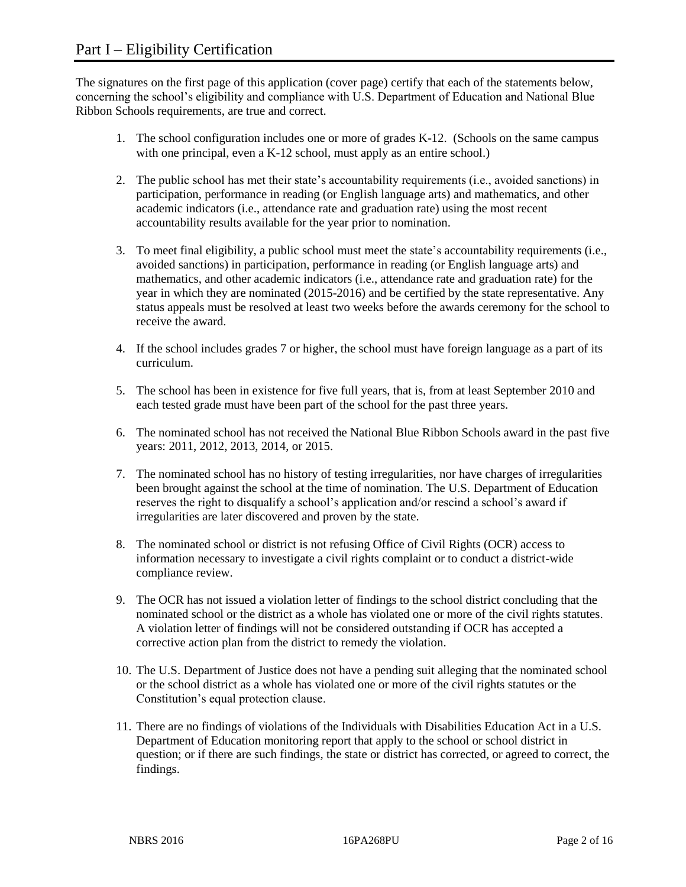The signatures on the first page of this application (cover page) certify that each of the statements below, concerning the school's eligibility and compliance with U.S. Department of Education and National Blue Ribbon Schools requirements, are true and correct.

- 1. The school configuration includes one or more of grades K-12. (Schools on the same campus with one principal, even a K-12 school, must apply as an entire school.)
- 2. The public school has met their state's accountability requirements (i.e., avoided sanctions) in participation, performance in reading (or English language arts) and mathematics, and other academic indicators (i.e., attendance rate and graduation rate) using the most recent accountability results available for the year prior to nomination.
- 3. To meet final eligibility, a public school must meet the state's accountability requirements (i.e., avoided sanctions) in participation, performance in reading (or English language arts) and mathematics, and other academic indicators (i.e., attendance rate and graduation rate) for the year in which they are nominated (2015-2016) and be certified by the state representative. Any status appeals must be resolved at least two weeks before the awards ceremony for the school to receive the award.
- 4. If the school includes grades 7 or higher, the school must have foreign language as a part of its curriculum.
- 5. The school has been in existence for five full years, that is, from at least September 2010 and each tested grade must have been part of the school for the past three years.
- 6. The nominated school has not received the National Blue Ribbon Schools award in the past five years: 2011, 2012, 2013, 2014, or 2015.
- 7. The nominated school has no history of testing irregularities, nor have charges of irregularities been brought against the school at the time of nomination. The U.S. Department of Education reserves the right to disqualify a school's application and/or rescind a school's award if irregularities are later discovered and proven by the state.
- 8. The nominated school or district is not refusing Office of Civil Rights (OCR) access to information necessary to investigate a civil rights complaint or to conduct a district-wide compliance review.
- 9. The OCR has not issued a violation letter of findings to the school district concluding that the nominated school or the district as a whole has violated one or more of the civil rights statutes. A violation letter of findings will not be considered outstanding if OCR has accepted a corrective action plan from the district to remedy the violation.
- 10. The U.S. Department of Justice does not have a pending suit alleging that the nominated school or the school district as a whole has violated one or more of the civil rights statutes or the Constitution's equal protection clause.
- 11. There are no findings of violations of the Individuals with Disabilities Education Act in a U.S. Department of Education monitoring report that apply to the school or school district in question; or if there are such findings, the state or district has corrected, or agreed to correct, the findings.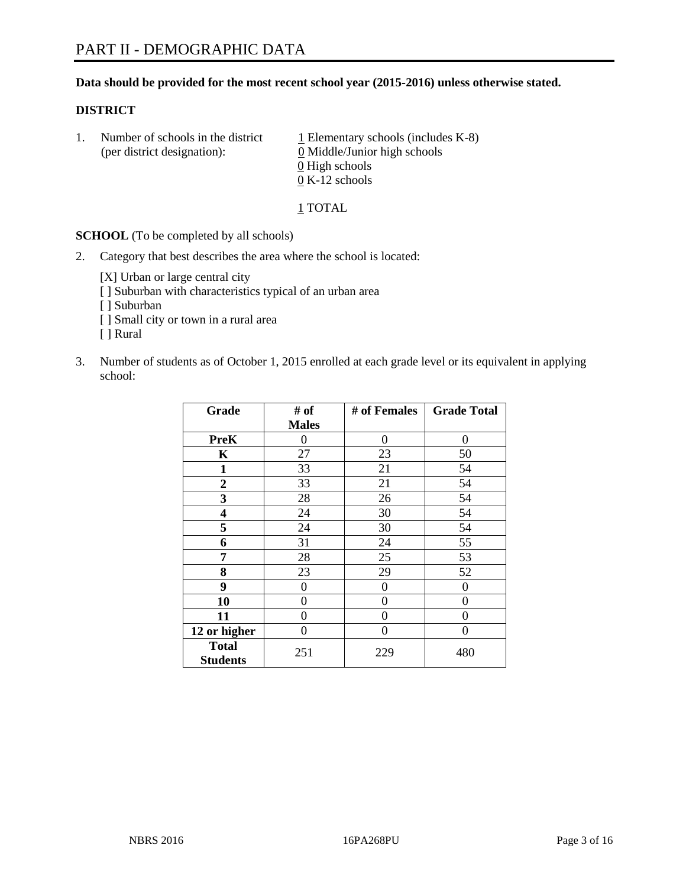## **Data should be provided for the most recent school year (2015-2016) unless otherwise stated.**

#### **DISTRICT**

1. Number of schools in the district  $1$  Elementary schools (includes K-8) (per district designation): 0 Middle/Junior high schools 0 High schools 0 K-12 schools

1 TOTAL

**SCHOOL** (To be completed by all schools)

2. Category that best describes the area where the school is located:

[X] Urban or large central city [ ] Suburban with characteristics typical of an urban area [ ] Suburban

- [ ] Small city or town in a rural area
- [ ] Rural
- 3. Number of students as of October 1, 2015 enrolled at each grade level or its equivalent in applying school:

| Grade                           | # of         | # of Females   | <b>Grade Total</b> |
|---------------------------------|--------------|----------------|--------------------|
|                                 | <b>Males</b> |                |                    |
| <b>PreK</b>                     | 0            | 0              | 0                  |
| $\mathbf K$                     | 27           | 23             | 50                 |
| 1                               | 33           | 21             | 54                 |
| 2                               | 33           | 21             | 54                 |
| 3                               | 28           | 26             | 54                 |
| 4                               | 24           | 30             | 54                 |
| 5                               | 24           | 30             | 54                 |
| 6                               | 31           | 24             | 55                 |
| 7                               | 28           | 25             | 53                 |
| 8                               | 23           | 29             | 52                 |
| 9                               | 0            | $\overline{0}$ | 0                  |
| 10                              | 0            | 0              | 0                  |
| 11                              | 0            | 0              | 0                  |
| 12 or higher                    | 0            | 0              | $\Omega$           |
| <b>Total</b><br><b>Students</b> | 251          | 229            | 480                |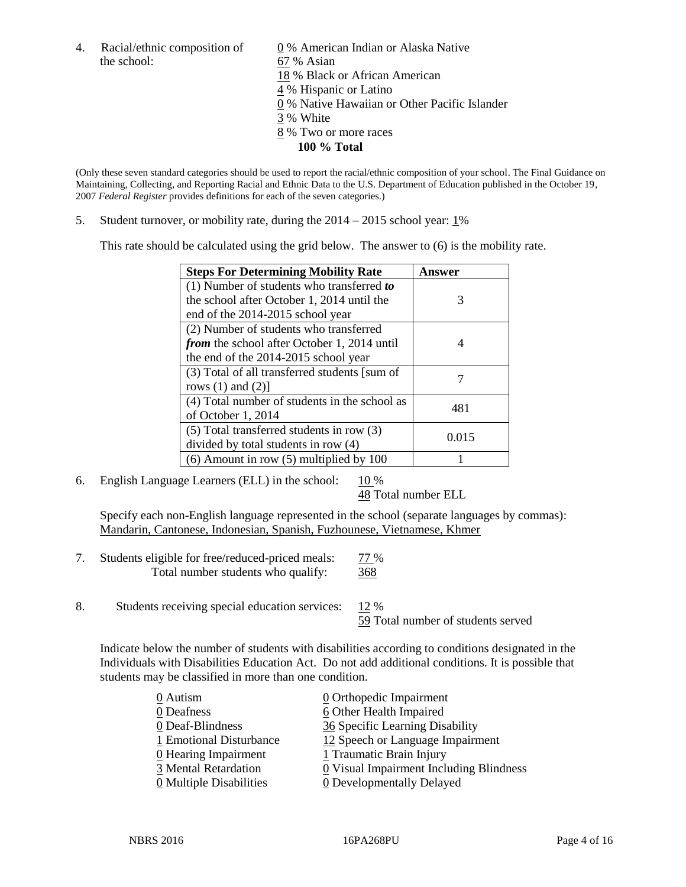the school: 67 % Asian

4. Racial/ethnic composition of  $\underline{0}$  % American Indian or Alaska Native 18 % Black or African American 4 % Hispanic or Latino 0 % Native Hawaiian or Other Pacific Islander 3 % White 8 % Two or more races **100 % Total**

(Only these seven standard categories should be used to report the racial/ethnic composition of your school. The Final Guidance on Maintaining, Collecting, and Reporting Racial and Ethnic Data to the U.S. Department of Education published in the October 19, 2007 *Federal Register* provides definitions for each of the seven categories.)

5. Student turnover, or mobility rate, during the  $2014 - 2015$  school year:  $1\%$ 

This rate should be calculated using the grid below. The answer to (6) is the mobility rate.

| <b>Steps For Determining Mobility Rate</b>    | Answer |  |
|-----------------------------------------------|--------|--|
| $(1)$ Number of students who transferred to   |        |  |
| the school after October 1, 2014 until the    | 3      |  |
| end of the 2014-2015 school year              |        |  |
| (2) Number of students who transferred        |        |  |
| from the school after October 1, 2014 until   | 4      |  |
| the end of the 2014-2015 school year          |        |  |
| (3) Total of all transferred students [sum of |        |  |
| rows $(1)$ and $(2)$ ]                        |        |  |
| (4) Total number of students in the school as | 481    |  |
| of October 1, 2014                            |        |  |
| $(5)$ Total transferred students in row $(3)$ | 0.015  |  |
| divided by total students in row (4)          |        |  |
| $(6)$ Amount in row $(5)$ multiplied by 100   |        |  |

6. English Language Learners (ELL) in the school:  $10\%$ 

48 Total number ELL

Specify each non-English language represented in the school (separate languages by commas): Mandarin, Cantonese, Indonesian, Spanish, Fuzhounese, Vietnamese, Khmer

- 7. Students eligible for free/reduced-priced meals: 77 % Total number students who qualify: 368
- 8. Students receiving special education services: 12 %

59 Total number of students served

Indicate below the number of students with disabilities according to conditions designated in the Individuals with Disabilities Education Act. Do not add additional conditions. It is possible that students may be classified in more than one condition.

| 0 Autism                | $\underline{0}$ Orthopedic Impairment   |
|-------------------------|-----------------------------------------|
| 0 Deafness              | 6 Other Health Impaired                 |
| 0 Deaf-Blindness        | 36 Specific Learning Disability         |
| 1 Emotional Disturbance | 12 Speech or Language Impairment        |
| 0 Hearing Impairment    | 1 Traumatic Brain Injury                |
| 3 Mental Retardation    | 0 Visual Impairment Including Blindness |
| 0 Multiple Disabilities | 0 Developmentally Delayed               |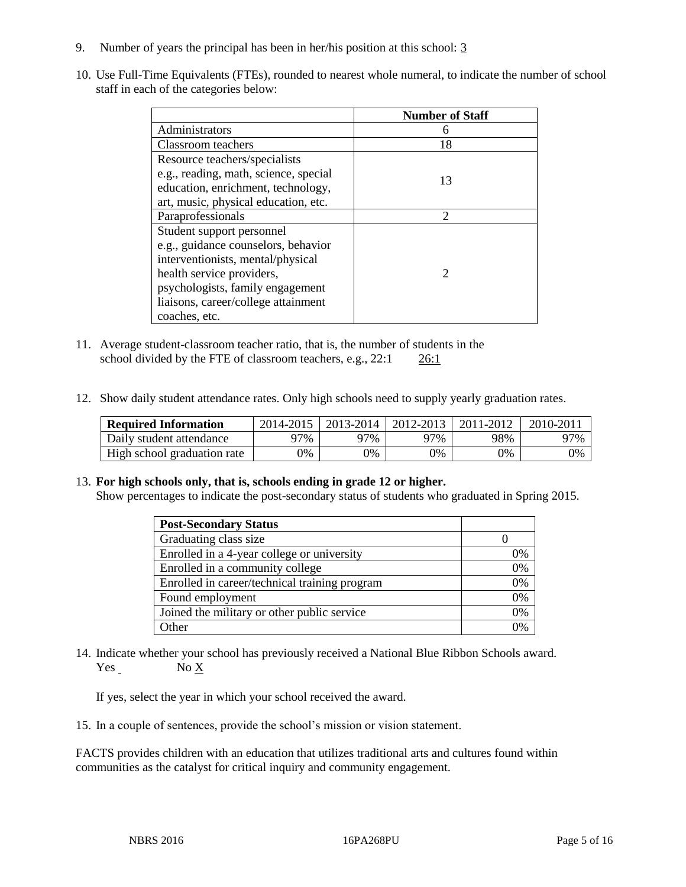- 9. Number of years the principal has been in her/his position at this school: 3
- 10. Use Full-Time Equivalents (FTEs), rounded to nearest whole numeral, to indicate the number of school staff in each of the categories below:

|                                       | <b>Number of Staff</b> |
|---------------------------------------|------------------------|
| Administrators                        |                        |
| Classroom teachers                    | 18                     |
| Resource teachers/specialists         |                        |
| e.g., reading, math, science, special | 13                     |
| education, enrichment, technology,    |                        |
| art, music, physical education, etc.  |                        |
| Paraprofessionals                     | っ                      |
| Student support personnel             |                        |
| e.g., guidance counselors, behavior   |                        |
| interventionists, mental/physical     |                        |
| health service providers,             | $\mathcal{D}$          |
| psychologists, family engagement      |                        |
| liaisons, career/college attainment   |                        |
| coaches, etc.                         |                        |

- 11. Average student-classroom teacher ratio, that is, the number of students in the school divided by the FTE of classroom teachers, e.g., 22:1 26:1
- 12. Show daily student attendance rates. Only high schools need to supply yearly graduation rates.

| <b>Required Information</b> | 2014-2015 | 2013-2014  | 2012-2013 | 2011-2012 | $2010 - 201$ |
|-----------------------------|-----------|------------|-----------|-----------|--------------|
| Daily student attendance    | 77%       | 97%        | 97%       | 98%       | 97%          |
| High school graduation rate | 0%        | $\gamma\%$ | 0%        | 9%        | 0%           |

## 13. **For high schools only, that is, schools ending in grade 12 or higher.**

Show percentages to indicate the post-secondary status of students who graduated in Spring 2015.

| <b>Post-Secondary Status</b>                  |    |
|-----------------------------------------------|----|
| Graduating class size                         |    |
| Enrolled in a 4-year college or university    | 0% |
| Enrolled in a community college               | 0% |
| Enrolled in career/technical training program | 0% |
| Found employment                              | 0% |
| Joined the military or other public service   | 0% |
| Other                                         | በ% |

14. Indicate whether your school has previously received a National Blue Ribbon Schools award. Yes No X

If yes, select the year in which your school received the award.

15. In a couple of sentences, provide the school's mission or vision statement.

FACTS provides children with an education that utilizes traditional arts and cultures found within communities as the catalyst for critical inquiry and community engagement.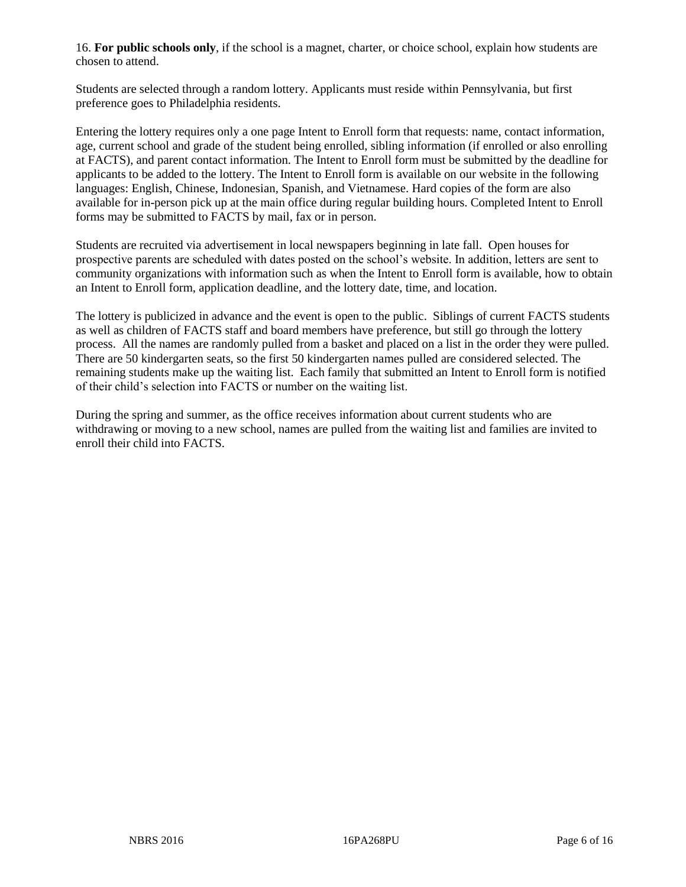16. **For public schools only**, if the school is a magnet, charter, or choice school, explain how students are chosen to attend.

Students are selected through a random lottery. Applicants must reside within Pennsylvania, but first preference goes to Philadelphia residents.

Entering the lottery requires only a one page Intent to Enroll form that requests: name, contact information, age, current school and grade of the student being enrolled, sibling information (if enrolled or also enrolling at FACTS), and parent contact information. The Intent to Enroll form must be submitted by the deadline for applicants to be added to the lottery. The Intent to Enroll form is available on our website in the following languages: English, Chinese, Indonesian, Spanish, and Vietnamese. Hard copies of the form are also available for in-person pick up at the main office during regular building hours. Completed Intent to Enroll forms may be submitted to FACTS by mail, fax or in person.

Students are recruited via advertisement in local newspapers beginning in late fall. Open houses for prospective parents are scheduled with dates posted on the school's website. In addition, letters are sent to community organizations with information such as when the Intent to Enroll form is available, how to obtain an Intent to Enroll form, application deadline, and the lottery date, time, and location.

The lottery is publicized in advance and the event is open to the public. Siblings of current FACTS students as well as children of FACTS staff and board members have preference, but still go through the lottery process. All the names are randomly pulled from a basket and placed on a list in the order they were pulled. There are 50 kindergarten seats, so the first 50 kindergarten names pulled are considered selected. The remaining students make up the waiting list. Each family that submitted an Intent to Enroll form is notified of their child's selection into FACTS or number on the waiting list.

During the spring and summer, as the office receives information about current students who are withdrawing or moving to a new school, names are pulled from the waiting list and families are invited to enroll their child into FACTS.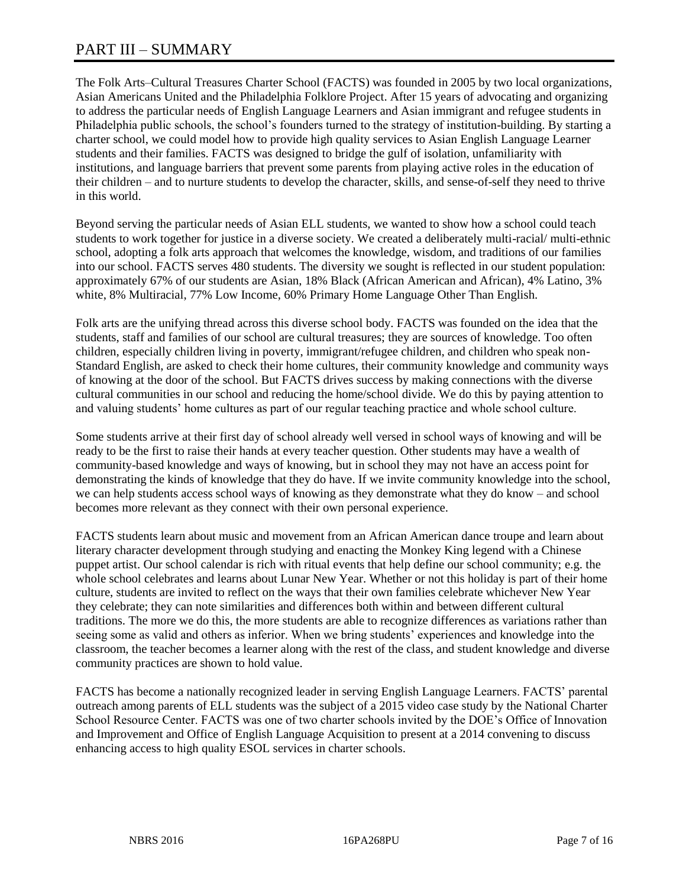# PART III – SUMMARY

The Folk Arts–Cultural Treasures Charter School (FACTS) was founded in 2005 by two local organizations, Asian Americans United and the Philadelphia Folklore Project. After 15 years of advocating and organizing to address the particular needs of English Language Learners and Asian immigrant and refugee students in Philadelphia public schools, the school's founders turned to the strategy of institution-building. By starting a charter school, we could model how to provide high quality services to Asian English Language Learner students and their families. FACTS was designed to bridge the gulf of isolation, unfamiliarity with institutions, and language barriers that prevent some parents from playing active roles in the education of their children – and to nurture students to develop the character, skills, and sense-of-self they need to thrive in this world.

Beyond serving the particular needs of Asian ELL students, we wanted to show how a school could teach students to work together for justice in a diverse society. We created a deliberately multi-racial/ multi-ethnic school, adopting a folk arts approach that welcomes the knowledge, wisdom, and traditions of our families into our school. FACTS serves 480 students. The diversity we sought is reflected in our student population: approximately 67% of our students are Asian, 18% Black (African American and African), 4% Latino, 3% white, 8% Multiracial, 77% Low Income, 60% Primary Home Language Other Than English.

Folk arts are the unifying thread across this diverse school body. FACTS was founded on the idea that the students, staff and families of our school are cultural treasures; they are sources of knowledge. Too often children, especially children living in poverty, immigrant/refugee children, and children who speak non-Standard English, are asked to check their home cultures, their community knowledge and community ways of knowing at the door of the school. But FACTS drives success by making connections with the diverse cultural communities in our school and reducing the home/school divide. We do this by paying attention to and valuing students' home cultures as part of our regular teaching practice and whole school culture.

Some students arrive at their first day of school already well versed in school ways of knowing and will be ready to be the first to raise their hands at every teacher question. Other students may have a wealth of community-based knowledge and ways of knowing, but in school they may not have an access point for demonstrating the kinds of knowledge that they do have. If we invite community knowledge into the school, we can help students access school ways of knowing as they demonstrate what they do know – and school becomes more relevant as they connect with their own personal experience.

FACTS students learn about music and movement from an African American dance troupe and learn about literary character development through studying and enacting the Monkey King legend with a Chinese puppet artist. Our school calendar is rich with ritual events that help define our school community; e.g. the whole school celebrates and learns about Lunar New Year. Whether or not this holiday is part of their home culture, students are invited to reflect on the ways that their own families celebrate whichever New Year they celebrate; they can note similarities and differences both within and between different cultural traditions. The more we do this, the more students are able to recognize differences as variations rather than seeing some as valid and others as inferior. When we bring students' experiences and knowledge into the classroom, the teacher becomes a learner along with the rest of the class, and student knowledge and diverse community practices are shown to hold value.

FACTS has become a nationally recognized leader in serving English Language Learners. FACTS' parental outreach among parents of ELL students was the subject of a 2015 video case study by the National Charter School Resource Center. FACTS was one of two charter schools invited by the DOE's Office of Innovation and Improvement and Office of English Language Acquisition to present at a 2014 convening to discuss enhancing access to high quality ESOL services in charter schools.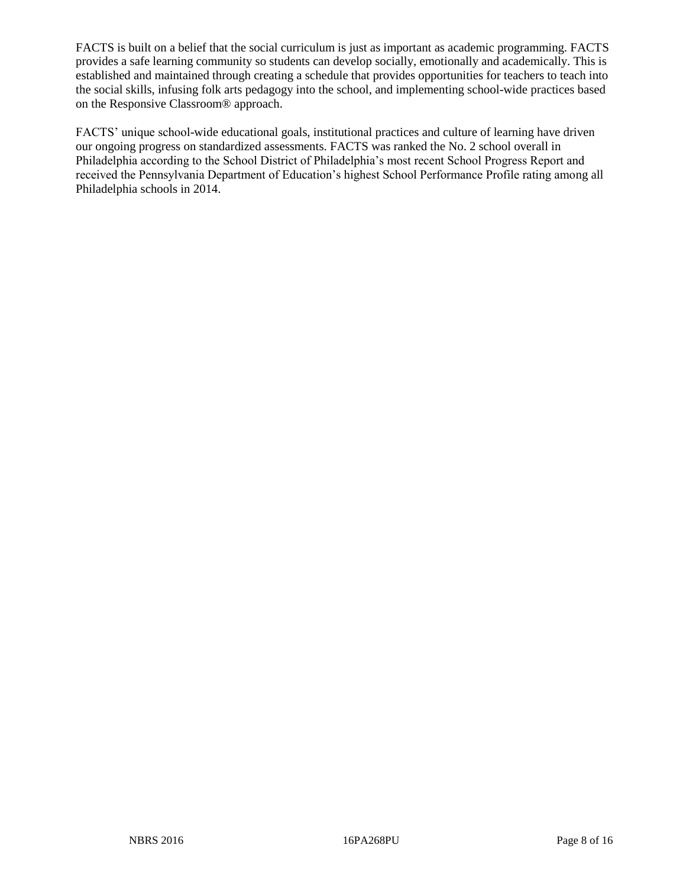FACTS is built on a belief that the social curriculum is just as important as academic programming. FACTS provides a safe learning community so students can develop socially, emotionally and academically. This is established and maintained through creating a schedule that provides opportunities for teachers to teach into the social skills, infusing folk arts pedagogy into the school, and implementing school-wide practices based on the Responsive Classroom® approach.

FACTS' unique school-wide educational goals, institutional practices and culture of learning have driven our ongoing progress on standardized assessments. FACTS was ranked the No. 2 school overall in Philadelphia according to the School District of Philadelphia's most recent School Progress Report and received the Pennsylvania Department of Education's highest School Performance Profile rating among all Philadelphia schools in 2014.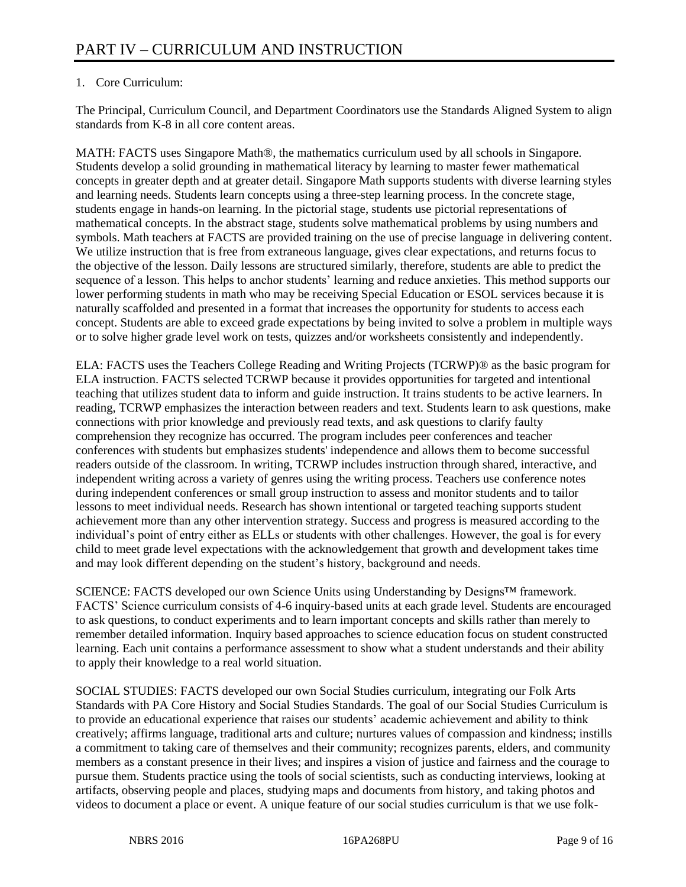# 1. Core Curriculum:

The Principal, Curriculum Council, and Department Coordinators use the Standards Aligned System to align standards from K-8 in all core content areas.

MATH: FACTS uses Singapore Math®, the mathematics curriculum used by all schools in Singapore. Students develop a solid grounding in mathematical literacy by learning to master fewer mathematical concepts in greater depth and at greater detail. Singapore Math supports students with diverse learning styles and learning needs. Students learn concepts using a three-step learning process. In the concrete stage, students engage in hands-on learning. In the pictorial stage, students use pictorial representations of mathematical concepts. In the abstract stage, students solve mathematical problems by using numbers and symbols. Math teachers at FACTS are provided training on the use of precise language in delivering content. We utilize instruction that is free from extraneous language, gives clear expectations, and returns focus to the objective of the lesson. Daily lessons are structured similarly, therefore, students are able to predict the sequence of a lesson. This helps to anchor students' learning and reduce anxieties. This method supports our lower performing students in math who may be receiving Special Education or ESOL services because it is naturally scaffolded and presented in a format that increases the opportunity for students to access each concept. Students are able to exceed grade expectations by being invited to solve a problem in multiple ways or to solve higher grade level work on tests, quizzes and/or worksheets consistently and independently.

ELA: FACTS uses the Teachers College Reading and Writing Projects (TCRWP)® as the basic program for ELA instruction. FACTS selected TCRWP because it provides opportunities for targeted and intentional teaching that utilizes student data to inform and guide instruction. It trains students to be active learners. In reading, TCRWP emphasizes the interaction between readers and text. Students learn to ask questions, make connections with prior knowledge and previously read texts, and ask questions to clarify faulty comprehension they recognize has occurred. The program includes peer conferences and teacher conferences with students but emphasizes students' independence and allows them to become successful readers outside of the classroom. In writing, TCRWP includes instruction through shared, interactive, and independent writing across a variety of genres using the writing process. Teachers use conference notes during independent conferences or small group instruction to assess and monitor students and to tailor lessons to meet individual needs. Research has shown intentional or targeted teaching supports student achievement more than any other intervention strategy. Success and progress is measured according to the individual's point of entry either as ELLs or students with other challenges. However, the goal is for every child to meet grade level expectations with the acknowledgement that growth and development takes time and may look different depending on the student's history, background and needs.

SCIENCE: FACTS developed our own Science Units using Understanding by Designs™ framework. FACTS' Science curriculum consists of 4-6 inquiry-based units at each grade level. Students are encouraged to ask questions, to conduct experiments and to learn important concepts and skills rather than merely to remember detailed information. Inquiry based approaches to science education focus on student constructed learning. Each unit contains a performance assessment to show what a student understands and their ability to apply their knowledge to a real world situation.

SOCIAL STUDIES: FACTS developed our own Social Studies curriculum, integrating our Folk Arts Standards with PA Core History and Social Studies Standards. The goal of our Social Studies Curriculum is to provide an educational experience that raises our students' academic achievement and ability to think creatively; affirms language, traditional arts and culture; nurtures values of compassion and kindness; instills a commitment to taking care of themselves and their community; recognizes parents, elders, and community members as a constant presence in their lives; and inspires a vision of justice and fairness and the courage to pursue them. Students practice using the tools of social scientists, such as conducting interviews, looking at artifacts, observing people and places, studying maps and documents from history, and taking photos and videos to document a place or event. A unique feature of our social studies curriculum is that we use folk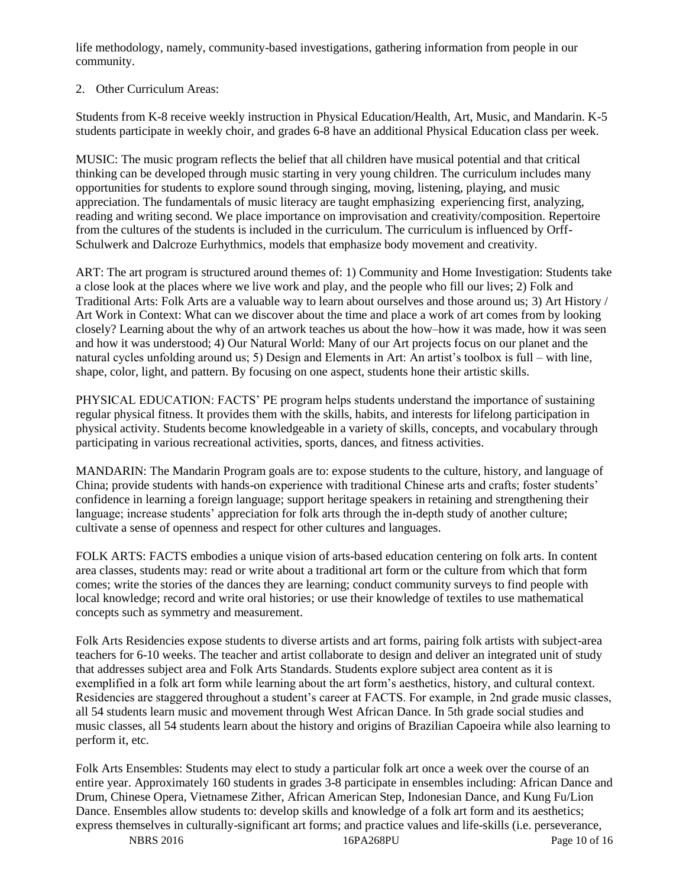life methodology, namely, community-based investigations, gathering information from people in our community.

# 2. Other Curriculum Areas:

Students from K-8 receive weekly instruction in Physical Education/Health, Art, Music, and Mandarin. K-5 students participate in weekly choir, and grades 6-8 have an additional Physical Education class per week.

MUSIC: The music program reflects the belief that all children have musical potential and that critical thinking can be developed through music starting in very young children. The curriculum includes many opportunities for students to explore sound through singing, moving, listening, playing, and music appreciation. The fundamentals of music literacy are taught emphasizing experiencing first, analyzing, reading and writing second. We place importance on improvisation and creativity/composition. Repertoire from the cultures of the students is included in the curriculum. The curriculum is influenced by Orff-Schulwerk and Dalcroze Eurhythmics, models that emphasize body movement and creativity.

ART: The art program is structured around themes of: 1) Community and Home Investigation: Students take a close look at the places where we live work and play, and the people who fill our lives; 2) Folk and Traditional Arts: Folk Arts are a valuable way to learn about ourselves and those around us; 3) Art History / Art Work in Context: What can we discover about the time and place a work of art comes from by looking closely? Learning about the why of an artwork teaches us about the how–how it was made, how it was seen and how it was understood; 4) Our Natural World: Many of our Art projects focus on our planet and the natural cycles unfolding around us; 5) Design and Elements in Art: An artist's toolbox is full – with line, shape, color, light, and pattern. By focusing on one aspect, students hone their artistic skills.

PHYSICAL EDUCATION: FACTS' PE program helps students understand the importance of sustaining regular physical fitness. It provides them with the skills, habits, and interests for lifelong participation in physical activity. Students become knowledgeable in a variety of skills, concepts, and vocabulary through participating in various recreational activities, sports, dances, and fitness activities.

MANDARIN: The Mandarin Program goals are to: expose students to the culture, history, and language of China; provide students with hands-on experience with traditional Chinese arts and crafts; foster students' confidence in learning a foreign language; support heritage speakers in retaining and strengthening their language; increase students' appreciation for folk arts through the in-depth study of another culture; cultivate a sense of openness and respect for other cultures and languages.

FOLK ARTS: FACTS embodies a unique vision of arts-based education centering on folk arts. In content area classes, students may: read or write about a traditional art form or the culture from which that form comes; write the stories of the dances they are learning; conduct community surveys to find people with local knowledge; record and write oral histories; or use their knowledge of textiles to use mathematical concepts such as symmetry and measurement.

Folk Arts Residencies expose students to diverse artists and art forms, pairing folk artists with subject-area teachers for 6-10 weeks. The teacher and artist collaborate to design and deliver an integrated unit of study that addresses subject area and Folk Arts Standards. Students explore subject area content as it is exemplified in a folk art form while learning about the art form's aesthetics, history, and cultural context. Residencies are staggered throughout a student's career at FACTS. For example, in 2nd grade music classes, all 54 students learn music and movement through West African Dance. In 5th grade social studies and music classes, all 54 students learn about the history and origins of Brazilian Capoeira while also learning to perform it, etc.

Folk Arts Ensembles: Students may elect to study a particular folk art once a week over the course of an entire year. Approximately 160 students in grades 3-8 participate in ensembles including: African Dance and Drum, Chinese Opera, Vietnamese Zither, African American Step, Indonesian Dance, and Kung Fu/Lion Dance. Ensembles allow students to: develop skills and knowledge of a folk art form and its aesthetics; express themselves in culturally-significant art forms; and practice values and life-skills (i.e. perseverance,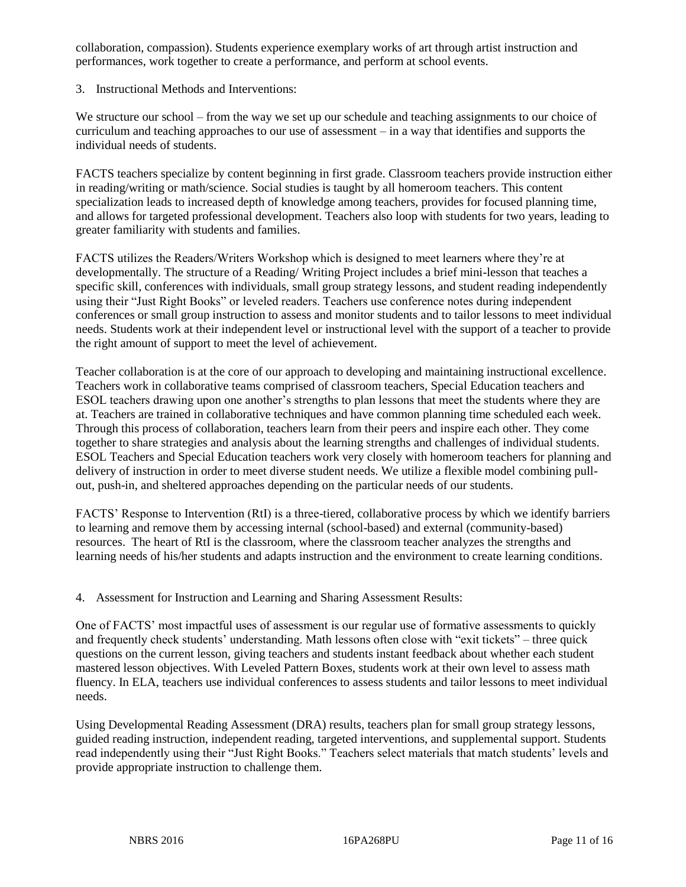collaboration, compassion). Students experience exemplary works of art through artist instruction and performances, work together to create a performance, and perform at school events.

3. Instructional Methods and Interventions:

We structure our school – from the way we set up our schedule and teaching assignments to our choice of curriculum and teaching approaches to our use of assessment – in a way that identifies and supports the individual needs of students.

FACTS teachers specialize by content beginning in first grade. Classroom teachers provide instruction either in reading/writing or math/science. Social studies is taught by all homeroom teachers. This content specialization leads to increased depth of knowledge among teachers, provides for focused planning time, and allows for targeted professional development. Teachers also loop with students for two years, leading to greater familiarity with students and families.

FACTS utilizes the Readers/Writers Workshop which is designed to meet learners where they're at developmentally. The structure of a Reading/ Writing Project includes a brief mini-lesson that teaches a specific skill, conferences with individuals, small group strategy lessons, and student reading independently using their "Just Right Books" or leveled readers. Teachers use conference notes during independent conferences or small group instruction to assess and monitor students and to tailor lessons to meet individual needs. Students work at their independent level or instructional level with the support of a teacher to provide the right amount of support to meet the level of achievement.

Teacher collaboration is at the core of our approach to developing and maintaining instructional excellence. Teachers work in collaborative teams comprised of classroom teachers, Special Education teachers and ESOL teachers drawing upon one another's strengths to plan lessons that meet the students where they are at. Teachers are trained in collaborative techniques and have common planning time scheduled each week. Through this process of collaboration, teachers learn from their peers and inspire each other. They come together to share strategies and analysis about the learning strengths and challenges of individual students. ESOL Teachers and Special Education teachers work very closely with homeroom teachers for planning and delivery of instruction in order to meet diverse student needs. We utilize a flexible model combining pullout, push-in, and sheltered approaches depending on the particular needs of our students.

FACTS' Response to Intervention (RtI) is a three-tiered, collaborative process by which we identify barriers to learning and remove them by accessing internal (school-based) and external (community-based) resources. The heart of RtI is the classroom, where the classroom teacher analyzes the strengths and learning needs of his/her students and adapts instruction and the environment to create learning conditions.

4. Assessment for Instruction and Learning and Sharing Assessment Results:

One of FACTS' most impactful uses of assessment is our regular use of formative assessments to quickly and frequently check students' understanding. Math lessons often close with "exit tickets" – three quick questions on the current lesson, giving teachers and students instant feedback about whether each student mastered lesson objectives. With Leveled Pattern Boxes, students work at their own level to assess math fluency. In ELA, teachers use individual conferences to assess students and tailor lessons to meet individual needs.

Using Developmental Reading Assessment (DRA) results, teachers plan for small group strategy lessons, guided reading instruction, independent reading, targeted interventions, and supplemental support. Students read independently using their "Just Right Books." Teachers select materials that match students' levels and provide appropriate instruction to challenge them.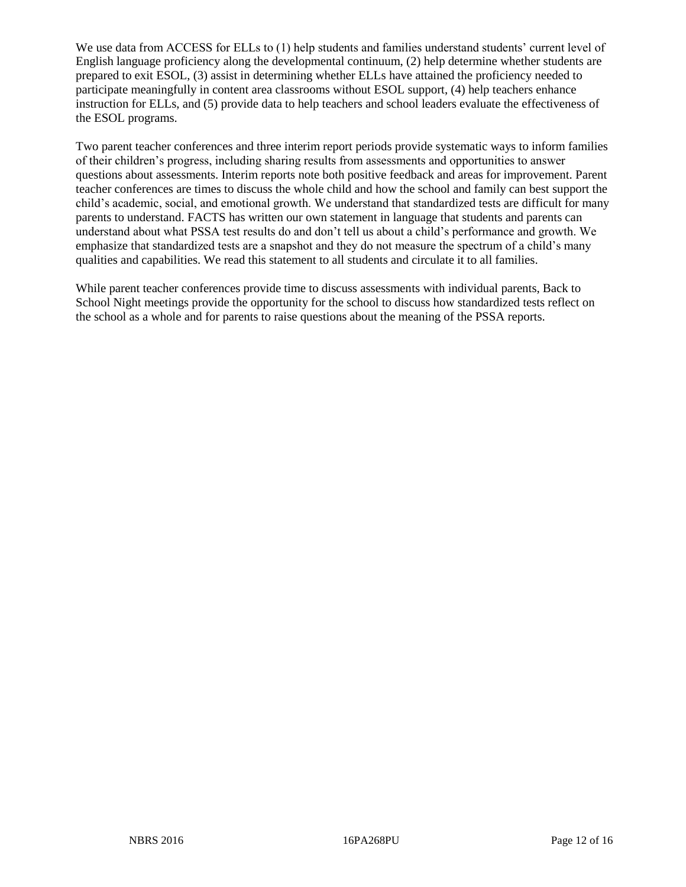We use data from ACCESS for ELLs to (1) help students and families understand students' current level of English language proficiency along the developmental continuum, (2) help determine whether students are prepared to exit ESOL, (3) assist in determining whether ELLs have attained the proficiency needed to participate meaningfully in content area classrooms without ESOL support, (4) help teachers enhance instruction for ELLs, and (5) provide data to help teachers and school leaders evaluate the effectiveness of the ESOL programs.

Two parent teacher conferences and three interim report periods provide systematic ways to inform families of their children's progress, including sharing results from assessments and opportunities to answer questions about assessments. Interim reports note both positive feedback and areas for improvement. Parent teacher conferences are times to discuss the whole child and how the school and family can best support the child's academic, social, and emotional growth. We understand that standardized tests are difficult for many parents to understand. FACTS has written our own statement in language that students and parents can understand about what PSSA test results do and don't tell us about a child's performance and growth. We emphasize that standardized tests are a snapshot and they do not measure the spectrum of a child's many qualities and capabilities. We read this statement to all students and circulate it to all families.

While parent teacher conferences provide time to discuss assessments with individual parents, Back to School Night meetings provide the opportunity for the school to discuss how standardized tests reflect on the school as a whole and for parents to raise questions about the meaning of the PSSA reports.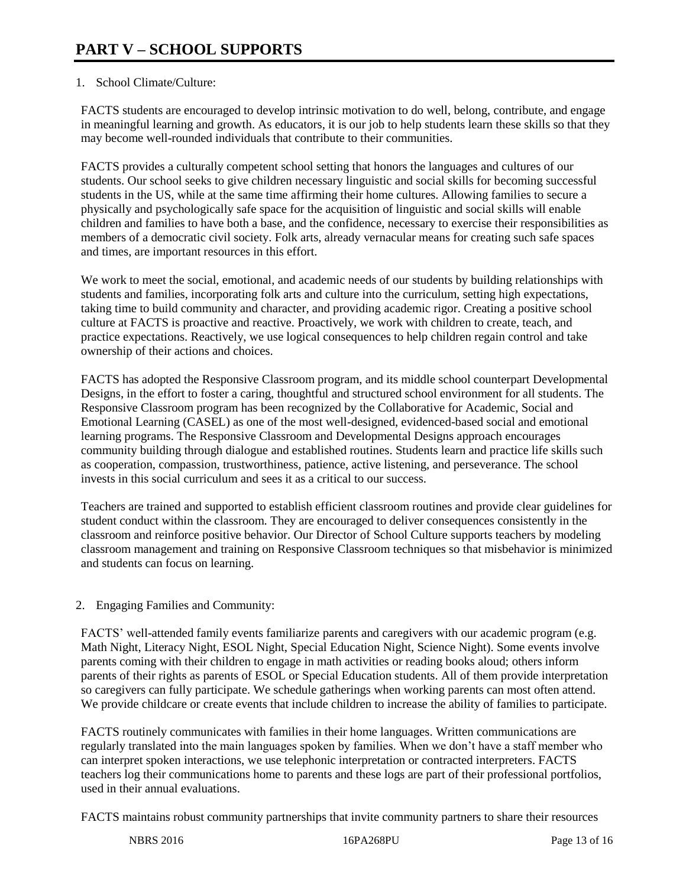# 1. School Climate/Culture:

FACTS students are encouraged to develop intrinsic motivation to do well, belong, contribute, and engage in meaningful learning and growth. As educators, it is our job to help students learn these skills so that they may become well-rounded individuals that contribute to their communities.

FACTS provides a culturally competent school setting that honors the languages and cultures of our students. Our school seeks to give children necessary linguistic and social skills for becoming successful students in the US, while at the same time affirming their home cultures. Allowing families to secure a physically and psychologically safe space for the acquisition of linguistic and social skills will enable children and families to have both a base, and the confidence, necessary to exercise their responsibilities as members of a democratic civil society. Folk arts, already vernacular means for creating such safe spaces and times, are important resources in this effort.

We work to meet the social, emotional, and academic needs of our students by building relationships with students and families, incorporating folk arts and culture into the curriculum, setting high expectations, taking time to build community and character, and providing academic rigor. Creating a positive school culture at FACTS is proactive and reactive. Proactively, we work with children to create, teach, and practice expectations. Reactively, we use logical consequences to help children regain control and take ownership of their actions and choices.

FACTS has adopted the Responsive Classroom program, and its middle school counterpart Developmental Designs, in the effort to foster a caring, thoughtful and structured school environment for all students. The Responsive Classroom program has been recognized by the Collaborative for Academic, Social and Emotional Learning (CASEL) as one of the most well-designed, evidenced-based social and emotional learning programs. The Responsive Classroom and Developmental Designs approach encourages community building through dialogue and established routines. Students learn and practice life skills such as cooperation, compassion, trustworthiness, patience, active listening, and perseverance. The school invests in this social curriculum and sees it as a critical to our success.

Teachers are trained and supported to establish efficient classroom routines and provide clear guidelines for student conduct within the classroom. They are encouraged to deliver consequences consistently in the classroom and reinforce positive behavior. Our Director of School Culture supports teachers by modeling classroom management and training on Responsive Classroom techniques so that misbehavior is minimized and students can focus on learning.

## 2. Engaging Families and Community:

FACTS' well-attended family events familiarize parents and caregivers with our academic program (e.g. Math Night, Literacy Night, ESOL Night, Special Education Night, Science Night). Some events involve parents coming with their children to engage in math activities or reading books aloud; others inform parents of their rights as parents of ESOL or Special Education students. All of them provide interpretation so caregivers can fully participate. We schedule gatherings when working parents can most often attend. We provide childcare or create events that include children to increase the ability of families to participate.

FACTS routinely communicates with families in their home languages. Written communications are regularly translated into the main languages spoken by families. When we don't have a staff member who can interpret spoken interactions, we use telephonic interpretation or contracted interpreters. FACTS teachers log their communications home to parents and these logs are part of their professional portfolios, used in their annual evaluations.

FACTS maintains robust community partnerships that invite community partners to share their resources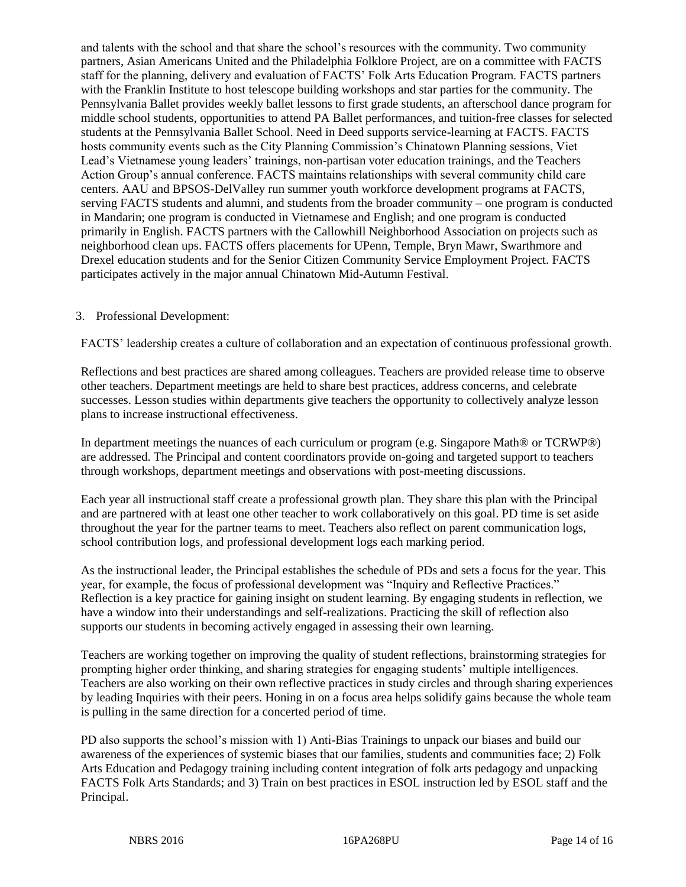and talents with the school and that share the school's resources with the community. Two community partners, Asian Americans United and the Philadelphia Folklore Project, are on a committee with FACTS staff for the planning, delivery and evaluation of FACTS' Folk Arts Education Program. FACTS partners with the Franklin Institute to host telescope building workshops and star parties for the community. The Pennsylvania Ballet provides weekly ballet lessons to first grade students, an afterschool dance program for middle school students, opportunities to attend PA Ballet performances, and tuition-free classes for selected students at the Pennsylvania Ballet School. Need in Deed supports service-learning at FACTS. FACTS hosts community events such as the City Planning Commission's Chinatown Planning sessions, Viet Lead's Vietnamese young leaders' trainings, non-partisan voter education trainings, and the Teachers Action Group's annual conference. FACTS maintains relationships with several community child care centers. AAU and BPSOS-DelValley run summer youth workforce development programs at FACTS, serving FACTS students and alumni, and students from the broader community – one program is conducted in Mandarin; one program is conducted in Vietnamese and English; and one program is conducted primarily in English. FACTS partners with the Callowhill Neighborhood Association on projects such as neighborhood clean ups. FACTS offers placements for UPenn, Temple, Bryn Mawr, Swarthmore and Drexel education students and for the Senior Citizen Community Service Employment Project. FACTS participates actively in the major annual Chinatown Mid-Autumn Festival.

## 3. Professional Development:

FACTS' leadership creates a culture of collaboration and an expectation of continuous professional growth.

Reflections and best practices are shared among colleagues. Teachers are provided release time to observe other teachers. Department meetings are held to share best practices, address concerns, and celebrate successes. Lesson studies within departments give teachers the opportunity to collectively analyze lesson plans to increase instructional effectiveness.

In department meetings the nuances of each curriculum or program (e.g. Singapore Math® or TCRWP®) are addressed. The Principal and content coordinators provide on-going and targeted support to teachers through workshops, department meetings and observations with post-meeting discussions.

Each year all instructional staff create a professional growth plan. They share this plan with the Principal and are partnered with at least one other teacher to work collaboratively on this goal. PD time is set aside throughout the year for the partner teams to meet. Teachers also reflect on parent communication logs, school contribution logs, and professional development logs each marking period.

As the instructional leader, the Principal establishes the schedule of PDs and sets a focus for the year. This year, for example, the focus of professional development was "Inquiry and Reflective Practices." Reflection is a key practice for gaining insight on student learning. By engaging students in reflection, we have a window into their understandings and self-realizations. Practicing the skill of reflection also supports our students in becoming actively engaged in assessing their own learning.

Teachers are working together on improving the quality of student reflections, brainstorming strategies for prompting higher order thinking, and sharing strategies for engaging students' multiple intelligences. Teachers are also working on their own reflective practices in study circles and through sharing experiences by leading Inquiries with their peers. Honing in on a focus area helps solidify gains because the whole team is pulling in the same direction for a concerted period of time.

PD also supports the school's mission with 1) Anti-Bias Trainings to unpack our biases and build our awareness of the experiences of systemic biases that our families, students and communities face; 2) Folk Arts Education and Pedagogy training including content integration of folk arts pedagogy and unpacking FACTS Folk Arts Standards; and 3) Train on best practices in ESOL instruction led by ESOL staff and the Principal.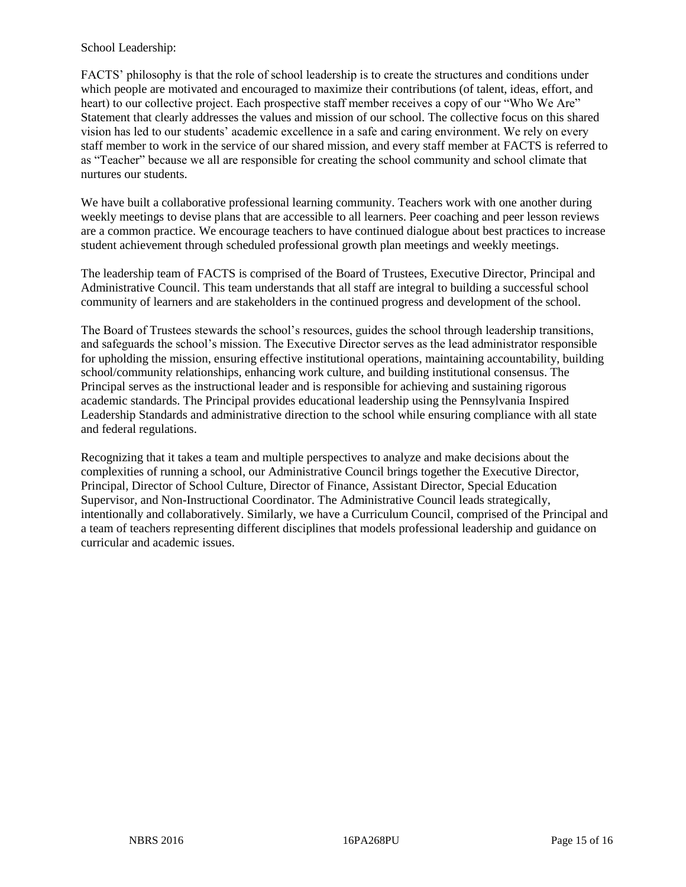# School Leadership:

FACTS' philosophy is that the role of school leadership is to create the structures and conditions under which people are motivated and encouraged to maximize their contributions (of talent, ideas, effort, and heart) to our collective project. Each prospective staff member receives a copy of our "Who We Are" Statement that clearly addresses the values and mission of our school. The collective focus on this shared vision has led to our students' academic excellence in a safe and caring environment. We rely on every staff member to work in the service of our shared mission, and every staff member at FACTS is referred to as "Teacher" because we all are responsible for creating the school community and school climate that nurtures our students.

We have built a collaborative professional learning community. Teachers work with one another during weekly meetings to devise plans that are accessible to all learners. Peer coaching and peer lesson reviews are a common practice. We encourage teachers to have continued dialogue about best practices to increase student achievement through scheduled professional growth plan meetings and weekly meetings.

The leadership team of FACTS is comprised of the Board of Trustees, Executive Director, Principal and Administrative Council. This team understands that all staff are integral to building a successful school community of learners and are stakeholders in the continued progress and development of the school.

The Board of Trustees stewards the school's resources, guides the school through leadership transitions, and safeguards the school's mission. The Executive Director serves as the lead administrator responsible for upholding the mission, ensuring effective institutional operations, maintaining accountability, building school/community relationships, enhancing work culture, and building institutional consensus. The Principal serves as the instructional leader and is responsible for achieving and sustaining rigorous academic standards. The Principal provides educational leadership using the Pennsylvania Inspired Leadership Standards and administrative direction to the school while ensuring compliance with all state and federal regulations.

Recognizing that it takes a team and multiple perspectives to analyze and make decisions about the complexities of running a school, our Administrative Council brings together the Executive Director, Principal, Director of School Culture, Director of Finance, Assistant Director, Special Education Supervisor, and Non-Instructional Coordinator. The Administrative Council leads strategically, intentionally and collaboratively. Similarly, we have a Curriculum Council, comprised of the Principal and a team of teachers representing different disciplines that models professional leadership and guidance on curricular and academic issues.